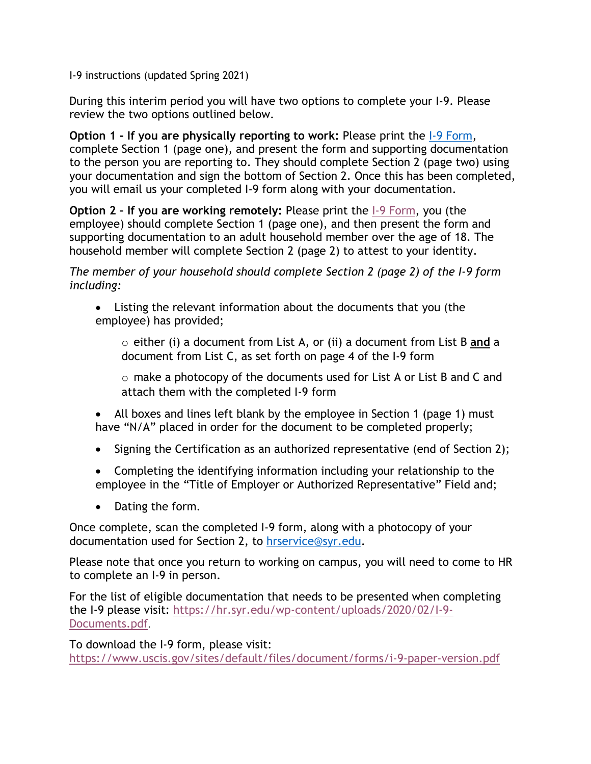I-9 instructions (updated Spring 2021)

During this interim period you will have two options to complete your I-9. Please review the two options outlined below.

**Option 1 - If you are physically reporting to work:** Please print the [I-9 Form,](https://www.uscis.gov/sites/default/files/document/forms/i-9-paper-version.pdf) complete Section 1 (page one), and present the form and supporting documentation to the person you are reporting to. They should complete Section 2 (page two) using your documentation and sign the bottom of Section 2. Once this has been completed, you will email us your completed I-9 form along with your documentation.

**Option 2 – If you are working remotely:** Please print the [I-9 Form,](https://www.uscis.gov/sites/default/files/document/forms/i-9-paper-version.pdf) you (the employee) should complete Section 1 (page one), and then present the form and supporting documentation to an adult household member over the age of 18. The household member will complete Section 2 (page 2) to attest to your identity.

*The member of your household should complete Section 2 (page 2) of the I-9 form including:* 

• Listing the relevant information about the documents that you (the employee) has provided;

o either (i) a document from List A, or (ii) a document from List B **and** a document from List C, as set forth on page 4 of the I-9 form

o make a photocopy of the documents used for List A or List B and C and attach them with the completed I-9 form

- All boxes and lines left blank by the employee in Section 1 (page 1) must have "N/A" placed in order for the document to be completed properly;
- Signing the Certification as an authorized representative (end of Section 2);
- Completing the identifying information including your relationship to the employee in the "Title of Employer or Authorized Representative" Field and;
- Dating the form.

Once complete, scan the completed I-9 form, along with a photocopy of your documentation used for Section 2, to [hrservice@syr.edu.](mailto:hrservice@syr.edu)

Please note that once you return to working on campus, you will need to come to HR to complete an I-9 in person.

For the list of eligible documentation that needs to be presented when completing the I-9 please visit: [https://hr.syr.edu/wp-content/uploads/2020/02/I-9-](https://hr.syr.edu/wp-content/uploads/2020/02/I-9-Documents.pdf) [Documents.pdf](https://hr.syr.edu/wp-content/uploads/2020/02/I-9-Documents.pdf).

To download the I-9 form, please visit: <https://www.uscis.gov/sites/default/files/document/forms/i-9-paper-version.pdf>